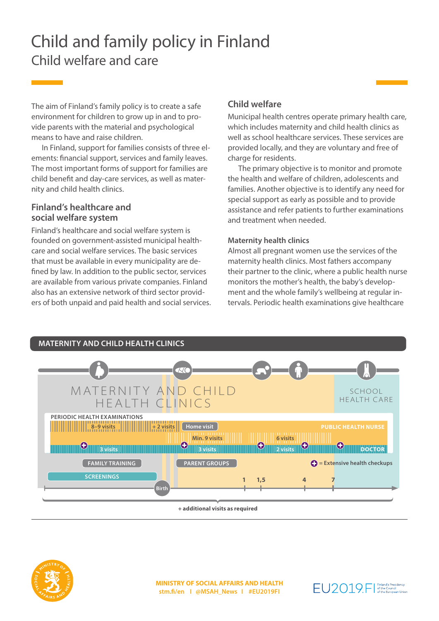# Child and family policy in Finland Child welfare and care

The aim of Finland's family policy is to create a safe environment for children to grow up in and to provide parents with the material and psychological means to have and raise children.

In Finland, support for families consists of three elements: financial support, services and family leaves. The most important forms of support for families are child benefit and day-care services, as well as maternity and child health clinics.

### **Finland's healthcare and social welfare system**

Finland's healthcare and social welfare system is founded on government-assisted municipal healthcare and social welfare services. The basic services that must be available in every municipality are defined by law. In addition to the public sector, services are available from various private companies. Finland also has an extensive network of third sector providers of both unpaid and paid health and social services.

## **Child welfare**

Municipal health centres operate primary health care, which includes maternity and child health clinics as well as school healthcare services. These services are provided locally, and they are voluntary and free of charge for residents.

The primary objective is to monitor and promote the health and welfare of children, adolescents and families. Another objective is to identify any need for special support as early as possible and to provide assistance and refer patients to further examinations and treatment when needed.

#### **Maternity health clinics**

Almost all pregnant women use the services of the maternity health clinics. Most fathers accompany their partner to the clinic, where a public health nurse monitors the mother's health, the baby's development and the whole family's wellbeing at regular intervals. Periodic health examinations give healthcare



**+ additional visits as required**